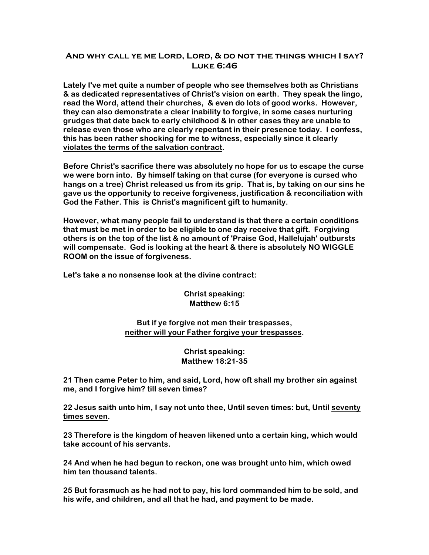## **And why call ye me Lord, Lord, & do not the things which I say? Luke 6:46**

**Lately I've met quite a number of people who see themselves both as Christians & as dedicated representatives of Christ's vision on earth. They speak the lingo, read the Word, attend their churches, & even do lots of good works. However, they can also demonstrate a clear inability to forgive, in some cases nurturing grudges that date back to early childhood & in other cases they are unable to release even those who are clearly repentant in their presence today. I confess, this has been rather shocking for me to witness, especially since it clearly violates the terms of the salvation contract.**

**Before Christ's sacrifice there was absolutely no hope for us to escape the curse we were born into. By himself taking on that curse (for everyone is cursed who hangs on a tree) Christ released us from its grip. That is, by taking on our sins he gave us the opportunity to receive forgiveness, justification & reconciliation with God the Father. This is Christ's magnificent gift to humanity.**

**However, what many people fail to understand is that there a certain conditions that must be met in order to be eligible to one day receive that gift. Forgiving others is on the top of the list & no amount of 'Praise God, Hallelujah' outbursts will compensate. God is looking at the heart & there is absolutely NO WIGGLE ROOM on the issue of forgiveness.**

**Let's take a no nonsense look at the divine contract:**

**Christ speaking: Matthew 6:15**

**But if ye forgive not men their trespasses, neither will your Father forgive your trespasses.**

> **Christ speaking: Matthew 18:21-35**

**21 Then came Peter to him, and said, Lord, how oft shall my brother sin against me, and I forgive him? till seven times?** 

**22 Jesus saith unto him, I say not unto thee, Until seven times: but, Until seventy times seven.** 

**23 Therefore is the kingdom of heaven likened unto a certain king, which would take account of his servants.** 

**24 And when he had begun to reckon, one was brought unto him, which owed him ten thousand talents.** 

**25 But forasmuch as he had not to pay, his lord commanded him to be sold, and his wife, and children, and all that he had, and payment to be made.**